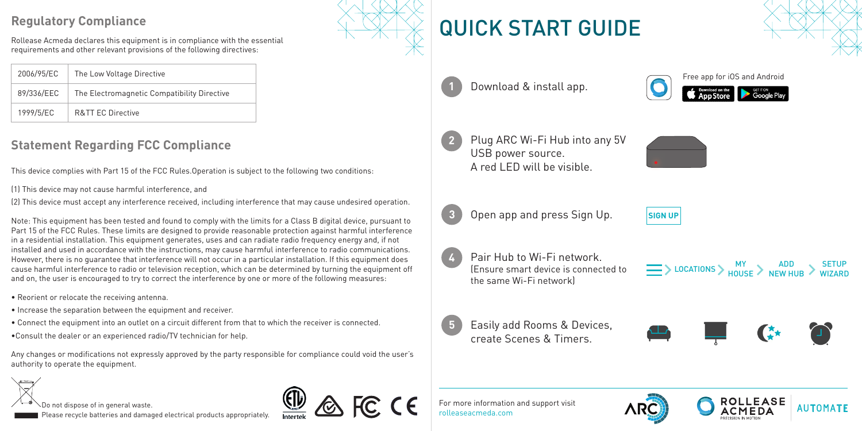## **Regulatory Compliance**

Rollease Acmeda declares this equipment is in compliance with the essential requirements and other relevant provisions of the following directives:

| 2006/95/EC | The Low Voltage Directive                   |  |
|------------|---------------------------------------------|--|
| 89/336/EEC | The Electromagnetic Compatibility Directive |  |
| 1999/5/EC  | <b>R&amp;TT FC Directive</b>                |  |

## **Statement Regarding FCC Compliance**

This device complies with Part 15 of the FCC Rules.Operation is subject to the following two conditions:

(1) This device may not cause harmful interference, and

(2) This device must accept any interference received, including interference that may cause undesired operation.

Note: This equipment has been tested and found to comply with the limits for a Class B digital device, pursuant to Part 15 of the FCC Rules. These limits are designed to provide reasonable protection against harmful interference in a residential installation. This equipment generates, uses and can radiate radio frequency energy and, if not installed and used in accordance with the instructions, may cause harmful interference to radio communications. However, there is no guarantee that interference will not occur in a particular installation. If this equipment does cause harmful interference to radio or television reception, which can be determined by turning the equipment off and on, the user is encouraged to try to correct the interference by one or more of the following measures:

- Reorient or relocate the receiving antenna.
- Increase the separation between the equipment and receiver.
- Connect the equipment into an outlet on a circuit different from that to which the receiver is connected.
- •Consult the dealer or an experienced radio/TV technician for help.

Any changes or modifications not expressly approved by the party responsible for compliance could void the user's authority to operate the equipment.

Do not dispose of in general waste. Please recycle batteries and damaged electrical products appropriately.



FC CE

## QUICK START GUIDE



**1** Download & install app.









**4**

**5**

**3** Open app and press Sign Up. **SIGN UP** 



Pair Hub to Wi-Fi network. (Ensure smart device is connected to the same Wi-Fi network)

 $\frac{M}{N}$   $\geq$   $\frac{ADD}{N}$   $\geq$   $\frac{SETUP}{N}$ 

Easily add Rooms & Devices, create Scenes & Timers.



For more information and support visit rolleaseacmeda.com